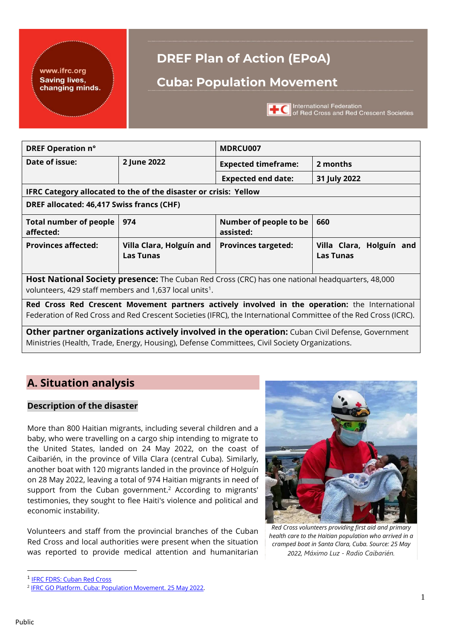

# **DREF Plan of Action (EPoA)**

## **Cuba: Population Movement**



**TC** International Federation<br>
of Red Cross and Red Crescent Societies

| DREF Operation n°                                                                                                                                                                                                 |                                              | MDRCU007                                                                   |                                                                                                 |  |  |  |  |
|-------------------------------------------------------------------------------------------------------------------------------------------------------------------------------------------------------------------|----------------------------------------------|----------------------------------------------------------------------------|-------------------------------------------------------------------------------------------------|--|--|--|--|
| Date of issue:                                                                                                                                                                                                    | 2 June 2022                                  | <b>Expected timeframe:</b><br>2 months                                     |                                                                                                 |  |  |  |  |
|                                                                                                                                                                                                                   |                                              | <b>Expected end date:</b>                                                  | 31 July 2022                                                                                    |  |  |  |  |
| IFRC Category allocated to the of the disaster or crisis: Yellow                                                                                                                                                  |                                              |                                                                            |                                                                                                 |  |  |  |  |
| DREF allocated: 46,417 Swiss francs (CHF)                                                                                                                                                                         |                                              |                                                                            |                                                                                                 |  |  |  |  |
| <b>Total number of people</b><br>affected:                                                                                                                                                                        | 974                                          | Number of people to be<br>assisted:                                        | 660                                                                                             |  |  |  |  |
| <b>Provinces affected:</b>                                                                                                                                                                                        | Villa Clara, Holguín and<br><b>Las Tunas</b> | <b>Provinces targeted:</b><br>Villa Clara, Holguín and<br><b>Las Tunas</b> |                                                                                                 |  |  |  |  |
| Host National Society presence: The Cuban Red Cross (CRC) has one national headquarters, 48,000<br>volunteers, 429 staff members and 1,637 local units <sup>1</sup> .                                             |                                              |                                                                            |                                                                                                 |  |  |  |  |
| Red Cross Red Crescent Movement partners actively involved in the operation: the International<br>Federation of Red Cross and Red Crescent Societies (IFRC), the International Committee of the Red Cross (ICRC). |                                              |                                                                            |                                                                                                 |  |  |  |  |
|                                                                                                                                                                                                                   |                                              |                                                                            | Other partner organizations actively involved in the operation: Cuban Civil Defense, Government |  |  |  |  |
| Ministries (Health, Trade, Energy, Housing), Defense Committees, Civil Society Organizations.                                                                                                                     |                                              |                                                                            |                                                                                                 |  |  |  |  |

## **A. Situation analysis**

### **Description of the disaster**

More than 800 Haitian migrants, including several children and a baby, who were travelling on a cargo ship intending to migrate to the United States, landed on 24 May 2022, on the coast of Caibarién, in the province of Villa Clara (central Cuba). Similarly, another boat with 120 migrants landed in the province of Holguín on 28 May 2022, leaving a total of 974 Haitian migrants in need of support from the Cuban government.<sup>2</sup> According to migrants' testimonies, they sought to flee Haiti's violence and political and economic instability.

Volunteers and staff from the provincial branches of the Cuban Red Cross and local authorities were present when the situation was reported to provide medical attention and humanitarian



*Red Cross volunteers providing first aid and primary health care to the Haitian population who arrived in a cramped boat in Santa Clara, Cuba. Source: 25 May 2022, Máximo Luz - Radio Caibarién.* 

<sup>&</sup>lt;sup>1</sup> [IFRC FDRS: Cuban Red Cross](https://data.ifrc.org/fdrs/national-society/national-society/DCU001)

<sup>&</sup>lt;sup>2</sup> [IFRC GO Platform. Cuba: Population Movement. 25 May 2022.](https://go.ifrc.org/emergencies/5999)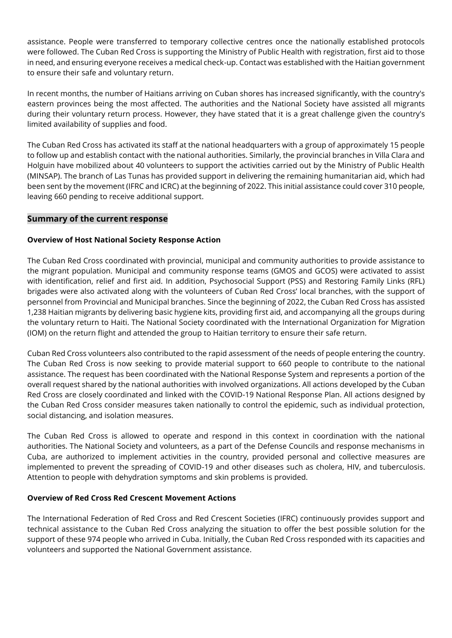assistance. People were transferred to temporary collective centres once the nationally established protocols were followed. The Cuban Red Cross is supporting the Ministry of Public Health with registration, first aid to those in need, and ensuring everyone receives a medical check-up. Contact was established with the Haitian government to ensure their safe and voluntary return.

In recent months, the number of Haitians arriving on Cuban shores has increased significantly, with the country's eastern provinces being the most affected. The authorities and the National Society have assisted all migrants during their voluntary return process. However, they have stated that it is a great challenge given the country's limited availability of supplies and food.

The Cuban Red Cross has activated its staff at the national headquarters with a group of approximately 15 people to follow up and establish contact with the national authorities. Similarly, the provincial branches in Villa Clara and Holguin have mobilized about 40 volunteers to support the activities carried out by the Ministry of Public Health (MINSAP). The branch of Las Tunas has provided support in delivering the remaining humanitarian aid, which had been sent by the movement (IFRC and ICRC) at the beginning of 2022. This initial assistance could cover 310 people, leaving 660 pending to receive additional support.

### **Summary of the current response**

### **Overview of Host National Society Response Action**

The Cuban Red Cross coordinated with provincial, municipal and community authorities to provide assistance to the migrant population. Municipal and community response teams (GMOS and GCOS) were activated to assist with identification, relief and first aid. In addition, Psychosocial Support (PSS) and Restoring Family Links (RFL) brigades were also activated along with the volunteers of Cuban Red Cross' local branches, with the support of personnel from Provincial and Municipal branches. Since the beginning of 2022, the Cuban Red Cross has assisted 1,238 Haitian migrants by delivering basic hygiene kits, providing first aid, and accompanying all the groups during the voluntary return to Haiti. The National Society coordinated with the International Organization for Migration (IOM) on the return flight and attended the group to Haitian territory to ensure their safe return.

Cuban Red Cross volunteers also contributed to the rapid assessment of the needs of people entering the country. The Cuban Red Cross is now seeking to provide material support to 660 people to contribute to the national assistance. The request has been coordinated with the National Response System and represents a portion of the overall request shared by the national authorities with involved organizations. All actions developed by the Cuban Red Cross are closely coordinated and linked with the COVID-19 National Response Plan. All actions designed by the Cuban Red Cross consider measures taken nationally to control the epidemic, such as individual protection, social distancing, and isolation measures.

The Cuban Red Cross is allowed to operate and respond in this context in coordination with the national authorities. The National Society and volunteers, as a part of the Defense Councils and response mechanisms in Cuba, are authorized to implement activities in the country, provided personal and collective measures are implemented to prevent the spreading of COVID-19 and other diseases such as cholera, HIV, and tuberculosis. Attention to people with dehydration symptoms and skin problems is provided.

### **Overview of Red Cross Red Crescent Movement Actions**

The International Federation of Red Cross and Red Crescent Societies (IFRC) continuously provides support and technical assistance to the Cuban Red Cross analyzing the situation to offer the best possible solution for the support of these 974 people who arrived in Cuba. Initially, the Cuban Red Cross responded with its capacities and volunteers and supported the National Government assistance.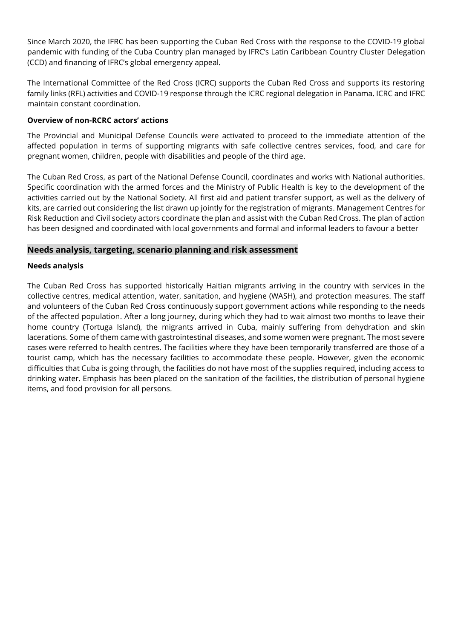Since March 2020, the IFRC has been supporting the Cuban Red Cross with the response to the COVID-19 global pandemic with funding of the Cuba Country plan managed by IFRC's Latin Caribbean Country Cluster Delegation (CCD) and financing of IFRC's global emergency appeal.

The International Committee of the Red Cross (ICRC) supports the Cuban Red Cross and supports its restoring family links (RFL) activities and COVID-19 response through the ICRC regional delegation in Panama. ICRC and IFRC maintain constant coordination.

### **Overview of non-RCRC actors' actions**

The Provincial and Municipal Defense Councils were activated to proceed to the immediate attention of the affected population in terms of supporting migrants with safe collective centres services, food, and care for pregnant women, children, people with disabilities and people of the third age.

The Cuban Red Cross, as part of the National Defense Council, coordinates and works with National authorities. Specific coordination with the armed forces and the Ministry of Public Health is key to the development of the activities carried out by the National Society. All first aid and patient transfer support, as well as the delivery of kits, are carried out considering the list drawn up jointly for the registration of migrants. Management Centres for Risk Reduction and Civil society actors coordinate the plan and assist with the Cuban Red Cross. The plan of action has been designed and coordinated with local governments and formal and informal leaders to favour a better

### **Needs analysis, targeting, scenario planning and risk assessment**

### **Needs analysis**

The Cuban Red Cross has supported historically Haitian migrants arriving in the country with services in the collective centres, medical attention, water, sanitation, and hygiene (WASH), and protection measures. The staff and volunteers of the Cuban Red Cross continuously support government actions while responding to the needs of the affected population. After a long journey, during which they had to wait almost two months to leave their home country (Tortuga Island), the migrants arrived in Cuba, mainly suffering from dehydration and skin lacerations. Some of them came with gastrointestinal diseases, and some women were pregnant. The most severe cases were referred to health centres. The facilities where they have been temporarily transferred are those of a tourist camp, which has the necessary facilities to accommodate these people. However, given the economic difficulties that Cuba is going through, the facilities do not have most of the supplies required, including access to drinking water. Emphasis has been placed on the sanitation of the facilities, the distribution of personal hygiene items, and food provision for all persons.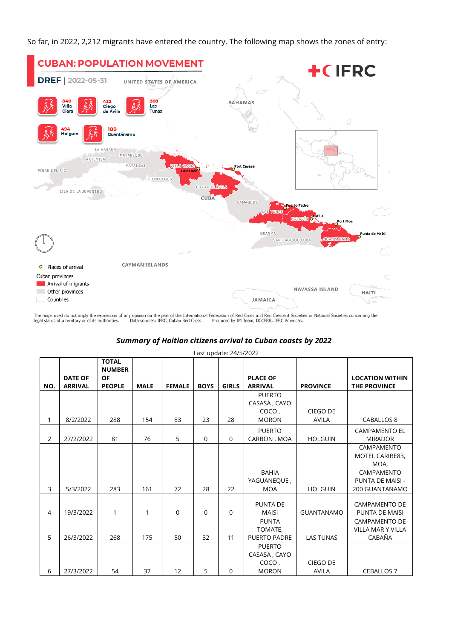So far, in 2022, 2,212 migrants have entered the country. The following map shows the zones of entry:



The maps used do not imply the expression of any opinion on the part of the International Federation of Red Cross and Red Crescent Societies or National Societies concerning the legal status of a territory or of its autho

### *Summary of Haitian citizens arrival to Cuban coasts by 2022*

|                |                                  |                                                             |             |               |             | Last update: 24/5/2022 |                                   |                   |                                               |
|----------------|----------------------------------|-------------------------------------------------------------|-------------|---------------|-------------|------------------------|-----------------------------------|-------------------|-----------------------------------------------|
| NO.            | <b>DATE OF</b><br><b>ARRIVAL</b> | <b>TOTAL</b><br><b>NUMBER</b><br><b>OF</b><br><b>PEOPLE</b> | <b>MALE</b> | <b>FEMALE</b> | <b>BOYS</b> | <b>GIRLS</b>           | <b>PLACE OF</b><br><b>ARRIVAL</b> | <b>PROVINCE</b>   | <b>LOCATION WITHIN</b><br><b>THE PROVINCE</b> |
|                |                                  |                                                             |             |               |             |                        | <b>PUERTO</b>                     |                   |                                               |
|                |                                  |                                                             |             |               |             |                        | CASASA, CAYO                      |                   |                                               |
|                |                                  |                                                             |             |               |             |                        | COCO,                             | CIEGO DE          |                                               |
| 1              | 8/2/2022                         | 288                                                         | 154         | 83            | 23          | 28                     | <b>MORON</b>                      | <b>AVILA</b>      | CABALLOS 8                                    |
|                |                                  |                                                             |             |               |             |                        | <b>PUERTO</b>                     |                   | <b>CAMPAMENTO EL</b>                          |
| $\overline{2}$ | 27/2/2022                        | 81                                                          | 76          | 5             | $\mathbf 0$ | $\mathbf 0$            | CARBON, MOA                       | <b>HOLGUIN</b>    | <b>MIRADOR</b>                                |
|                |                                  |                                                             |             |               |             |                        |                                   |                   | CAMPAMENTO                                    |
|                |                                  |                                                             |             |               |             |                        |                                   |                   | MOTEL CARIBE83,                               |
|                |                                  |                                                             |             |               |             |                        |                                   |                   | MOA,                                          |
|                |                                  |                                                             |             |               |             |                        | <b>BAHIA</b>                      |                   | CAMPAMENTO                                    |
|                |                                  |                                                             |             |               |             |                        | YAGUANEQUE,                       |                   | PUNTA DE MAISI -                              |
| 3              | 5/3/2022                         | 283                                                         | 161         | 72            | 28          | 22                     | <b>MOA</b>                        | <b>HOLGUIN</b>    | 200 GUANTANAMO                                |
|                |                                  |                                                             |             |               |             |                        |                                   |                   |                                               |
|                |                                  |                                                             |             |               |             |                        | PUNTA DE                          |                   | <b>CAMPAMENTO DE</b>                          |
| 4              | 19/3/2022                        | 1                                                           | 1           | $\mathbf 0$   | 0           | $\mathbf 0$            | <b>MAISI</b>                      | <b>GUANTANAMO</b> | <b>PUNTA DE MAISI</b>                         |
|                |                                  |                                                             |             |               |             |                        | <b>PUNTA</b>                      |                   | <b>CAMPAMENTO DE</b><br>VILLA MAR Y VILLA     |
| 5              | 26/3/2022                        | 268                                                         | 175         | 50            | 32          | 11                     | TOMATE,<br><b>PUERTO PADRE</b>    | <b>LAS TUNAS</b>  | CABAÑA                                        |
|                |                                  |                                                             |             |               |             |                        |                                   |                   |                                               |
|                |                                  |                                                             |             |               |             |                        | <b>PUERTO</b>                     |                   |                                               |
|                |                                  |                                                             |             |               |             |                        | CASASA, CAYO                      | CIEGO DE          |                                               |
| 6              | 27/3/2022                        | 54                                                          | 37          | 12            | 5           | 0                      | COCO,<br><b>MORON</b>             | <b>AVILA</b>      | <b>CEBALLOS 7</b>                             |
|                |                                  |                                                             |             |               |             |                        |                                   |                   |                                               |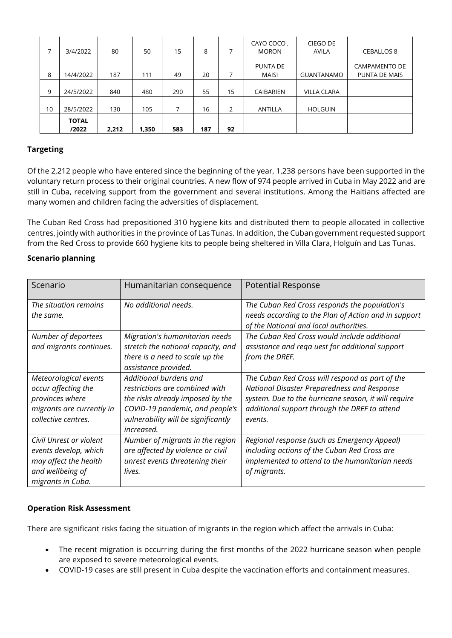| 7  | 3/4/2022              | 80    | 50    | 15  | 8   |    | CAYO COCO,<br><b>MORON</b> | CIEGO DE<br><b>AVILA</b> | <b>CEBALLOS 8</b>              |
|----|-----------------------|-------|-------|-----|-----|----|----------------------------|--------------------------|--------------------------------|
| 8  | 14/4/2022             | 187   | 111   | 49  | 20  |    | PUNTA DE<br><b>MAISI</b>   | <b>GUANTANAMO</b>        | CAMPAMENTO DE<br>PUNTA DE MAIS |
| 9  | 24/5/2022             | 840   | 480   | 290 | 55  | 15 | CAIBARIEN                  | VILLA CLARA              |                                |
| 10 | 28/5/2022             | 130   | 105   | 7   | 16  | 2  | ANTILLA                    | <b>HOLGUIN</b>           |                                |
|    | <b>TOTAL</b><br>/2022 | 2,212 | 1,350 | 583 | 187 | 92 |                            |                          |                                |

### **Targeting**

Of the 2,212 people who have entered since the beginning of the year, 1,238 persons have been supported in the voluntary return process to their original countries. A new flow of 974 people arrived in Cuba in May 2022 and are still in Cuba, receiving support from the government and several institutions. Among the Haitians affected are many women and children facing the adversities of displacement.

The Cuban Red Cross had prepositioned 310 hygiene kits and distributed them to people allocated in collective centres, jointly with authorities in the province of Las Tunas. In addition, the Cuban government requested support from the Red Cross to provide 660 hygiene kits to people being sheltered in Villa Clara, Holguín and Las Tunas.

### **Scenario planning**

| Scenario                                                                                                            | Humanitarian consequence                                                                                                                                                             | <b>Potential Response</b>                                                                                                                                                                                          |
|---------------------------------------------------------------------------------------------------------------------|--------------------------------------------------------------------------------------------------------------------------------------------------------------------------------------|--------------------------------------------------------------------------------------------------------------------------------------------------------------------------------------------------------------------|
| The situation remains<br>the same.                                                                                  | No additional needs.                                                                                                                                                                 | The Cuban Red Cross responds the population's<br>needs according to the Plan of Action and in support<br>of the National and local authorities.                                                                    |
| Number of deportees<br>and migrants continues.                                                                      | Migration's humanitarian needs<br>stretch the national capacity, and<br>there is a need to scale up the<br>assistance provided.                                                      | The Cuban Red Cross would include additional<br>assistance and rega uest for additional support<br>from the DREF.                                                                                                  |
| Meteorological events<br>occur affecting the<br>provinces where<br>migrants are currently in<br>collective centres. | Additional burdens and<br>restrictions are combined with<br>the risks already imposed by the<br>COVID-19 pandemic, and people's<br>vulnerability will be significantly<br>increased. | The Cuban Red Cross will respond as part of the<br>National Disaster Preparedness and Response<br>system. Due to the hurricane season, it will require<br>additional support through the DREF to attend<br>events. |
| Civil Unrest or violent<br>events develop, which<br>may affect the health<br>and wellbeing of<br>migrants in Cuba.  | Number of migrants in the region<br>are affected by violence or civil<br>unrest events threatening their<br>lives.                                                                   | Regional response (such as Emergency Appeal)<br>including actions of the Cuban Red Cross are<br>implemented to attend to the humanitarian needs<br>of migrants.                                                    |

### **Operation Risk Assessment**

There are significant risks facing the situation of migrants in the region which affect the arrivals in Cuba:

- The recent migration is occurring during the first months of the 2022 hurricane season when people are exposed to severe meteorological events.
- COVID-19 cases are still present in Cuba despite the vaccination efforts and containment measures.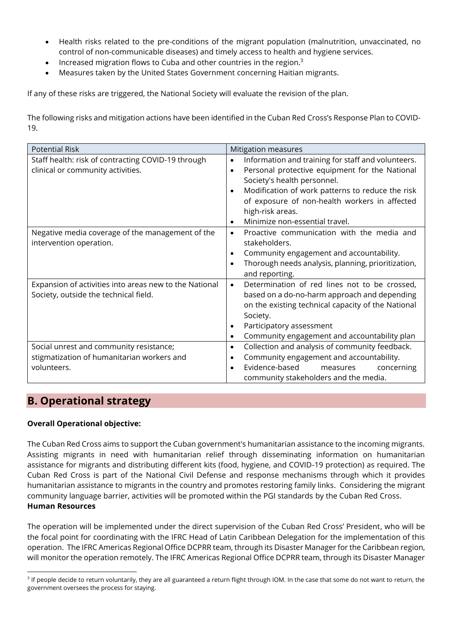- Health risks related to the pre-conditions of the migrant population (malnutrition, unvaccinated, no control of non-communicable diseases) and timely access to health and hygiene services.
- Increased migration flows to Cuba and other countries in the region.<sup>3</sup>
- Measures taken by the United States Government concerning Haitian migrants.

If any of these risks are triggered, the National Society will evaluate the revision of the plan.

The following risks and mitigation actions have been identified in the Cuban Red Cross's Response Plan to COVID-19.

| <b>Potential Risk</b>                                  | <b>Mitigation measures</b>                                      |
|--------------------------------------------------------|-----------------------------------------------------------------|
| Staff health: risk of contracting COVID-19 through     | Information and training for staff and volunteers.<br>$\bullet$ |
| clinical or community activities.                      | Personal protective equipment for the National<br>$\bullet$     |
|                                                        | Society's health personnel.                                     |
|                                                        | Modification of work patterns to reduce the risk<br>$\bullet$   |
|                                                        | of exposure of non-health workers in affected                   |
|                                                        | high-risk areas.                                                |
|                                                        | Minimize non-essential travel.<br>$\bullet$                     |
| Negative media coverage of the management of the       | Proactive communication with the media and<br>$\bullet$         |
| intervention operation.                                | stakeholders.                                                   |
|                                                        | Community engagement and accountability.<br>$\bullet$           |
|                                                        | Thorough needs analysis, planning, prioritization,<br>$\bullet$ |
|                                                        | and reporting.                                                  |
| Expansion of activities into areas new to the National | Determination of red lines not to be crossed,<br>$\bullet$      |
| Society, outside the technical field.                  | based on a do-no-harm approach and depending                    |
|                                                        | on the existing technical capacity of the National              |
|                                                        | Society.                                                        |
|                                                        | Participatory assessment<br>٠                                   |
|                                                        | Community engagement and accountability plan<br>$\bullet$       |
| Social unrest and community resistance;                | Collection and analysis of community feedback.<br>$\bullet$     |
| stigmatization of humanitarian workers and             | Community engagement and accountability.<br>$\bullet$           |
| volunteers.                                            | Evidence-based<br>measures<br>concerning<br>$\bullet$           |
|                                                        | community stakeholders and the media.                           |

### **B. Operational strategy**

### **Overall Operational objective:**

The Cuban Red Cross aims to support the Cuban government's humanitarian assistance to the incoming migrants. Assisting migrants in need with humanitarian relief through disseminating information on humanitarian assistance for migrants and distributing different kits (food, hygiene, and COVID-19 protection) as required. The Cuban Red Cross is part of the National Civil Defense and response mechanisms through which it provides humanitarian assistance to migrants in the country and promotes restoring family links. Considering the migrant community language barrier, activities will be promoted within the PGI standards by the Cuban Red Cross. **Human Resources** 

The operation will be implemented under the direct supervision of the Cuban Red Cross' President, who will be the focal point for coordinating with the IFRC Head of Latin Caribbean Delegation for the implementation of this operation. The IFRC Americas Regional Office DCPRR team, through its Disaster Manager for the Caribbean region, will monitor the operation remotely. The IFRC Americas Regional Office DCPRR team, through its Disaster Manager

<sup>&</sup>lt;sup>3</sup> If people decide to return voluntarily, they are all guaranteed a return flight through IOM. In the case that some do not want to return, the government oversees the process for staying.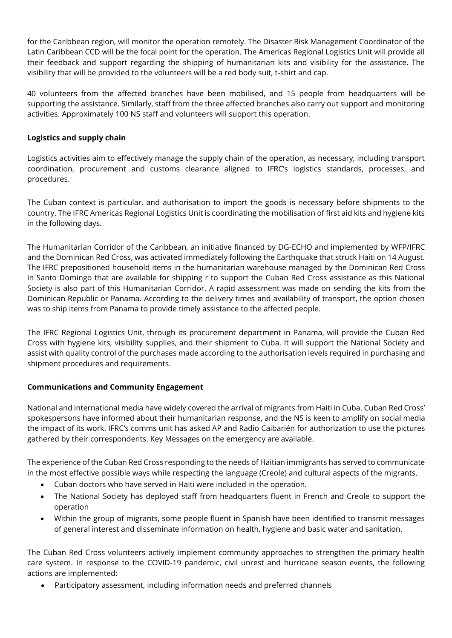for the Caribbean region, will monitor the operation remotely. The Disaster Risk Management Coordinator of the Latin Caribbean CCD will be the focal point for the operation. The Americas Regional Logistics Unit will provide all their feedback and support regarding the shipping of humanitarian kits and visibility for the assistance. The visibility that will be provided to the volunteers will be a red body suit, t-shirt and cap.

40 volunteers from the affected branches have been mobilised, and 15 people from headquarters will be supporting the assistance. Similarly, staff from the three affected branches also carry out support and monitoring activities. Approximately 100 NS staff and volunteers will support this operation.

### **Logistics and supply chain**

Logistics activities aim to effectively manage the supply chain of the operation, as necessary, including transport coordination, procurement and customs clearance aligned to IFRC's logistics standards, processes, and procedures.

The Cuban context is particular, and authorisation to import the goods is necessary before shipments to the country. The IFRC Americas Regional Logistics Unit is coordinating the mobilisation of first aid kits and hygiene kits in the following days.

The Humanitarian Corridor of the Caribbean, an initiative financed by DG-ECHO and implemented by WFP/IFRC and the Dominican Red Cross, was activated immediately following the Earthquake that struck Haiti on 14 August. The IFRC prepositioned household items in the humanitarian warehouse managed by the Dominican Red Cross in Santo Domingo that are available for shipping r to support the Cuban Red Cross assistance as this National Society is also part of this Humanitarian Corridor. A rapid assessment was made on sending the kits from the Dominican Republic or Panama. According to the delivery times and availability of transport, the option chosen was to ship items from Panama to provide timely assistance to the affected people.

The IFRC Regional Logistics Unit, through its procurement department in Panama, will provide the Cuban Red Cross with hygiene kits, visibility supplies, and their shipment to Cuba. It will support the National Society and assist with quality control of the purchases made according to the authorisation levels required in purchasing and shipment procedures and requirements.

### **Communications and Community Engagement**

National and international media have widely covered the arrival of migrants from Haiti in Cuba. Cuban Red Cross' spokespersons have informed about their humanitarian response, and the NS is keen to amplify on social media the impact of its work. IFRC's comms unit has asked AP and Radio Caibarién for authorization to use the pictures gathered by their correspondents. Key Messages on the emergency are available.

The experience of the Cuban Red Cross responding to the needs of Haitian immigrants has served to communicate in the most effective possible ways while respecting the language (Creole) and cultural aspects of the migrants.

- Cuban doctors who have served in Haiti were included in the operation.
- The National Society has deployed staff from headquarters fluent in French and Creole to support the operation
- Within the group of migrants, some people fluent in Spanish have been identified to transmit messages of general interest and disseminate information on health, hygiene and basic water and sanitation.

The Cuban Red Cross volunteers actively implement community approaches to strengthen the primary health care system. In response to the COVID-19 pandemic, civil unrest and hurricane season events, the following actions are implemented:

• Participatory assessment, including information needs and preferred channels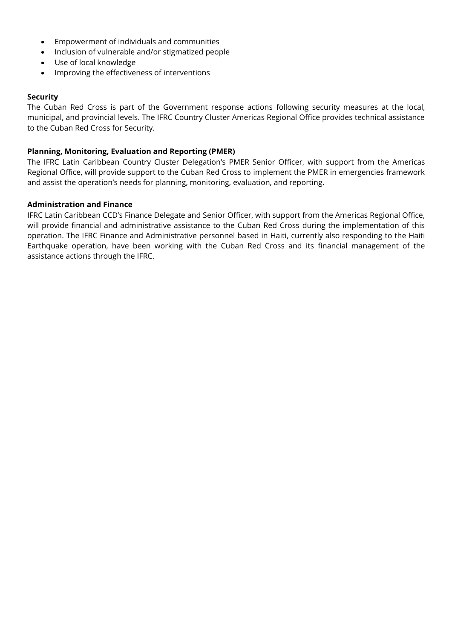- Empowerment of individuals and communities
- Inclusion of vulnerable and/or stigmatized people
- Use of local knowledge
- Improving the effectiveness of interventions

#### **Security**

The Cuban Red Cross is part of the Government response actions following security measures at the local, municipal, and provincial levels. The IFRC Country Cluster Americas Regional Office provides technical assistance to the Cuban Red Cross for Security.

#### **Planning, Monitoring, Evaluation and Reporting (PMER)**

The IFRC Latin Caribbean Country Cluster Delegation's PMER Senior Officer, with support from the Americas Regional Office, will provide support to the Cuban Red Cross to implement the PMER in emergencies framework and assist the operation's needs for planning, monitoring, evaluation, and reporting.

#### **Administration and Finance**

IFRC Latin Caribbean CCD's Finance Delegate and Senior Officer, with support from the Americas Regional Office, will provide financial and administrative assistance to the Cuban Red Cross during the implementation of this operation. The IFRC Finance and Administrative personnel based in Haiti, currently also responding to the Haiti Earthquake operation, have been working with the Cuban Red Cross and its financial management of the assistance actions through the IFRC.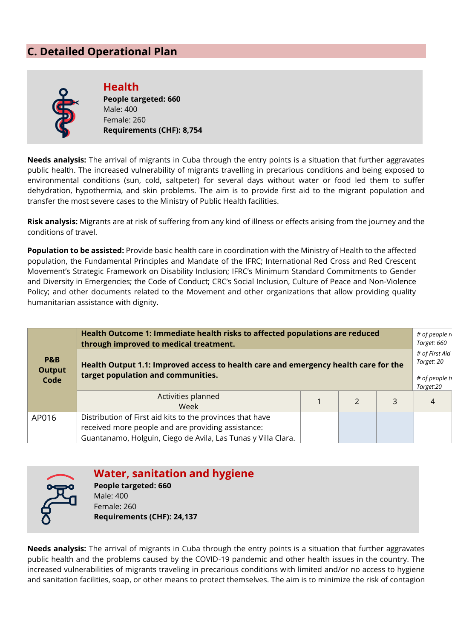### **C. Detailed Operational Plan**



**Health People targeted: 660** Male: 400 Female: 260 **Requirements (CHF): 8,754**

**Needs analysis:** The arrival of migrants in Cuba through the entry points is a situation that further aggravates public health. The increased vulnerability of migrants travelling in precarious conditions and being exposed to environmental conditions (sun, cold, saltpeter) for several days without water or food led them to suffer dehydration, hypothermia, and skin problems. The aim is to provide first aid to the migrant population and transfer the most severe cases to the Ministry of Public Health facilities.

**Risk analysis:** Migrants are at risk of suffering from any kind of illness or effects arising from the journey and the conditions of travel.

**Population to be assisted:** Provide basic health care in coordination with the Ministry of Health to the affected population, the Fundamental Principles and Mandate of the IFRC; International Red Cross and Red Crescent Movement's Strategic Framework on Disability Inclusion; IFRC's Minimum Standard Commitments to Gender and Diversity in Emergencies; the Code of Conduct; CRC's Social Inclusion, Culture of Peace and Non-Violence Policy; and other documents related to the Movement and other organizations that allow providing quality humanitarian assistance with dignity.

| Health Outcome 1: Immediate health risks to affected populations are reduced<br>through improved to medical treatment. |                                                                                                                                                                                  |  |  |   |   |  |
|------------------------------------------------------------------------------------------------------------------------|----------------------------------------------------------------------------------------------------------------------------------------------------------------------------------|--|--|---|---|--|
| P&B<br><b>Output</b><br>Code                                                                                           | Health Output 1.1: Improved access to health care and emergency health care for the<br>target population and communities.                                                        |  |  |   |   |  |
|                                                                                                                        | Activities planned<br>Week                                                                                                                                                       |  |  | 3 | 4 |  |
| AP016                                                                                                                  | Distribution of First aid kits to the provinces that have<br>received more people and are providing assistance:<br>Guantanamo, Holguin, Ciego de Avila, Las Tunas y Villa Clara. |  |  |   |   |  |



### **Water, sanitation and hygiene**

**People targeted: 660** Male: 400 Female: 260 **Requirements (CHF): 24,137**

**Needs analysis:** The arrival of migrants in Cuba through the entry points is a situation that further aggravates public health and the problems caused by the COVID-19 pandemic and other health issues in the country. The increased vulnerabilities of migrants traveling in precarious conditions with limited and/or no access to hygiene and sanitation facilities, soap, or other means to protect themselves. The aim is to minimize the risk of contagion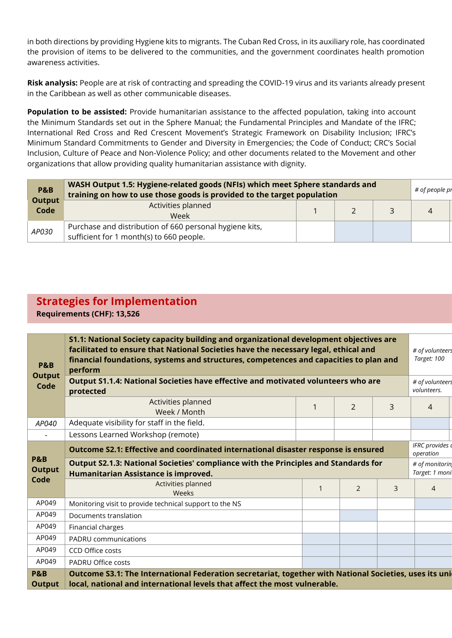in both directions by providing Hygiene kits to migrants. The Cuban Red Cross, in its auxiliary role, has coordinated the provision of items to be delivered to the communities, and the government coordinates health promotion awareness activities.

**Risk analysis:** People are at risk of contracting and spreading the COVID-19 virus and its variants already present in the Caribbean as well as other communicable diseases.

**Population to be assisted:** Provide humanitarian assistance to the affected population, taking into account the Minimum Standards set out in the Sphere Manual; the Fundamental Principles and Mandate of the IFRC; International Red Cross and Red Crescent Movement's Strategic Framework on Disability Inclusion; IFRC's Minimum Standard Commitments to Gender and Diversity in Emergencies; the Code of Conduct; CRC's Social Inclusion, Culture of Peace and Non-Violence Policy; and other documents related to the Movement and other organizations that allow providing quality humanitarian assistance with dignity.

| <b>P&amp;B</b><br><b>Output</b> | WASH Output 1.5: Hygiene-related goods (NFIs) which meet Sphere standards and<br>training on how to use those goods is provided to the target population |  |  |  |  |  |  |
|---------------------------------|----------------------------------------------------------------------------------------------------------------------------------------------------------|--|--|--|--|--|--|
| Code                            | Activities planned<br>Week                                                                                                                               |  |  |  |  |  |  |
| AP030                           | Purchase and distribution of 660 personal hygiene kits,<br>sufficient for 1 month(s) to 660 people.                                                      |  |  |  |  |  |  |

## **Strategies for Implementation**

**Requirements (CHF): 13,526**

| <b>P&amp;B</b><br><b>Output</b> | S1.1: National Society capacity building and organizational development objectives are<br>facilitated to ensure that National Societies have the necessary legal, ethical and<br>financial foundations, systems and structures, competences and capacities to plan and<br>perform |  |                |   |                                  |  |
|---------------------------------|-----------------------------------------------------------------------------------------------------------------------------------------------------------------------------------------------------------------------------------------------------------------------------------|--|----------------|---|----------------------------------|--|
| Code                            | Output S1.1.4: National Societies have effective and motivated volunteers who are<br>protected                                                                                                                                                                                    |  |                |   | # of volunteers<br>volunteers.   |  |
|                                 | Activities planned<br>Week / Month                                                                                                                                                                                                                                                |  | $\overline{2}$ | 3 | $\overline{4}$                   |  |
| AP040                           | Adequate visibility for staff in the field.                                                                                                                                                                                                                                       |  |                |   |                                  |  |
|                                 | Lessons Learned Workshop (remote)                                                                                                                                                                                                                                                 |  |                |   |                                  |  |
|                                 | Outcome S2.1: Effective and coordinated international disaster response is ensured                                                                                                                                                                                                |  |                |   | IFRC provides d<br>operation     |  |
| <b>P&amp;B</b><br><b>Output</b> | Output S2.1.3: National Societies' compliance with the Principles and Standards for<br>Humanitarian Assistance is improved.                                                                                                                                                       |  |                |   | # of monitorin<br>Target: 1 moni |  |
| Code                            | Activities planned<br>Weeks                                                                                                                                                                                                                                                       |  | 2              | 3 | 4                                |  |
| AP049                           | Monitoring visit to provide technical support to the NS                                                                                                                                                                                                                           |  |                |   |                                  |  |
| AP049                           | Documents translation                                                                                                                                                                                                                                                             |  |                |   |                                  |  |
| AP049                           | Financial charges                                                                                                                                                                                                                                                                 |  |                |   |                                  |  |
| AP049                           | PADRU communications                                                                                                                                                                                                                                                              |  |                |   |                                  |  |
| AP049                           | CCD Office costs                                                                                                                                                                                                                                                                  |  |                |   |                                  |  |
| AP049                           | <b>PADRU Office costs</b>                                                                                                                                                                                                                                                         |  |                |   |                                  |  |
| <b>P&amp;B</b><br><b>Output</b> | Outcome S3.1: The International Federation secretariat, together with National Societies, uses its uni<br>local, national and international levels that affect the most vulnerable.                                                                                               |  |                |   |                                  |  |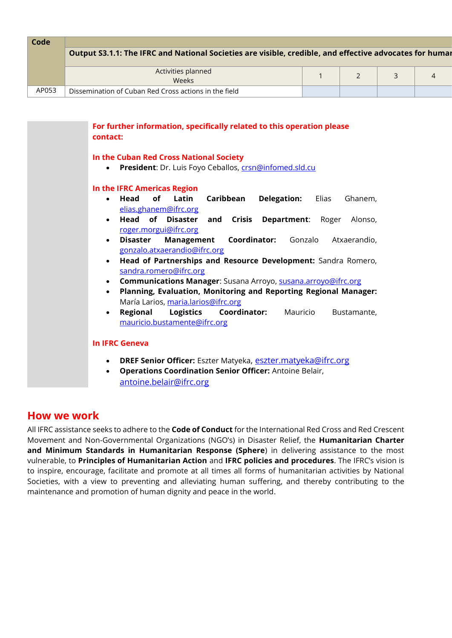| <b>Code</b> | Output S3.1.1: The IFRC and National Societies are visible, credible, and effective advocates for humar |  |  |
|-------------|---------------------------------------------------------------------------------------------------------|--|--|
|             | Activities planned<br>Weeks                                                                             |  |  |
| AP053       | Dissemination of Cuban Red Cross actions in the field                                                   |  |  |

| For further information, specifically related to this operation please<br>contact:                                                                                                                 |
|----------------------------------------------------------------------------------------------------------------------------------------------------------------------------------------------------|
| In the Cuban Red Cross National Society<br>President: Dr. Luis Foyo Ceballos, crsn@infomed.sld.cu                                                                                                  |
| In the IFRC Americas Region                                                                                                                                                                        |
| of<br>Caribbean<br>Head<br>Latin<br><b>Delegation:</b><br>Elias<br>Ghanem,<br>$\bullet$<br>elias.ghanem@ifrc.org                                                                                   |
| <b>Head of Disaster</b><br><b>Crisis</b><br><b>Department: Roger</b><br>and<br>Alonso,<br>$\bullet$<br>roger.morgui@ifrc.org                                                                       |
| <b>Management Coordinator:</b><br>Gonzalo<br>Disaster<br>Atxaerandio,<br>$\bullet$<br>gonzalo.atxaerandio@ifrc.org                                                                                 |
| Head of Partnerships and Resource Development: Sandra Romero,<br>$\bullet$<br>sandra.romero@ifrc.org                                                                                               |
| Communications Manager: Susana Arroyo, susana.arroyo@ifrc.org<br>$\bullet$<br>Planning, Evaluation, Monitoring and Reporting Regional Manager:<br>$\bullet$<br>María Larios, maria.larios@ifrc.org |
| <b>Logistics</b><br>Regional<br><b>Coordinator:</b> Mauricio<br>Bustamante,<br>$\bullet$<br>mauricio.bustamente@ifrc.org                                                                           |
| <b>In IFRC Geneva</b>                                                                                                                                                                              |
| DREF Senior Officer: Eszter Matyeka, eszter.matyeka@ifrc.org<br>$\bullet$                                                                                                                          |
| <b>Operations Coordination Senior Officer: Antoine Belair,</b><br>$\bullet$                                                                                                                        |
| antoine.belair@ifrc.org                                                                                                                                                                            |

### **How we work**

All IFRC assistance seeks to adhere to the **Code of Conduct** for the International Red Cross and Red Crescent Movement and Non-Governmental Organizations (NGO's) in Disaster Relief, the **Humanitarian Charter and Minimum Standards in Humanitarian Response (Sphere**) in delivering assistance to the most vulnerable, to **Principles of Humanitarian Action** and **IFRC policies and procedures**. The IFRC's vision is to inspire, encourage, facilitate and promote at all times all forms of humanitarian activities by National Societies, with a view to preventing and alleviating human suffering, and thereby contributing to the maintenance and promotion of human dignity and peace in the world.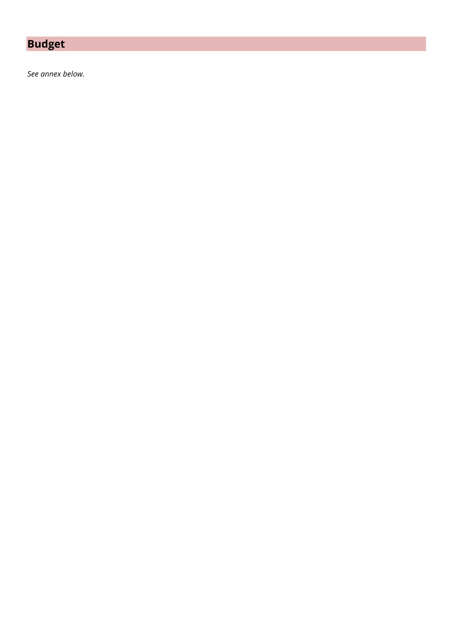# **Budget**

*See annex below.*